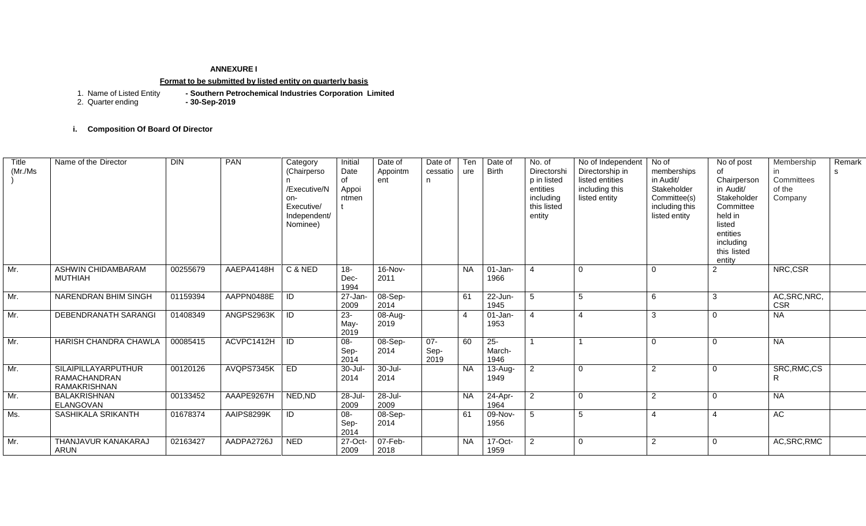## **ANNEXURE I**

#### **Format to be submitted by listed entity on quarterly basis**

1. Southern Petrochemical Industries Corporation Limited<br>**-** 30-Sep-2019 1. Name of Listed Entity<br>2. Quarter ending

**i. Composition Of Board Of Director** 

| <b>Title</b><br>(Mr./Ms) | Name of the Director                                              | $\overline{D}$ | PAN        | Category<br>(Chairperso<br>/Executive/N<br>on-<br>Executive/<br>Independent/<br>Nominee) | Initial<br>Date<br>of<br>Appoi<br>ntmen | Date of<br>Appointm<br>ent | Date of<br>cessatio<br>n. | Ten<br>ure | Date of<br>Birth         | No. of<br>Directorshi<br>p in listed<br>entities<br>including<br>this listed<br>entity | No of Independent<br>Directorship in<br>listed entities<br>including this<br>listed entity | No of<br>memberships<br>in Audit/<br>Stakeholder<br>Committee(s)<br>including this<br>listed entity | No of post<br>of<br>Chairperson<br>in Audit/<br>Stakeholder<br>Committee<br>held in<br>listed<br>entities<br>including<br>this listed<br>entity | Membership<br>$\mathsf{I}$<br>Committees<br>of the<br>Company | Remark<br>s. |
|--------------------------|-------------------------------------------------------------------|----------------|------------|------------------------------------------------------------------------------------------|-----------------------------------------|----------------------------|---------------------------|------------|--------------------------|----------------------------------------------------------------------------------------|--------------------------------------------------------------------------------------------|-----------------------------------------------------------------------------------------------------|-------------------------------------------------------------------------------------------------------------------------------------------------|---------------------------------------------------------------|--------------|
| Mr.                      | ASHWIN CHIDAMBARAM<br><b>MUTHIAH</b>                              | 00255679       | AAEPA4148H | C & NED                                                                                  | $18 -$<br>Dec-<br>1994                  | 16-Nov-<br>2011            |                           | <b>NA</b>  | $01-Jan-$<br>1966        | $\boldsymbol{\varDelta}$                                                               | $\Omega$                                                                                   | $\Omega$                                                                                            | $\overline{2}$                                                                                                                                  | NRC,CSR                                                       |              |
| Mr.                      | NARENDRAN BHIM SINGH                                              | 01159394       | AAPPN0488E | ID                                                                                       | $27 - Jan-$<br>2009                     | 08-Sep-<br>2014            |                           | 61         | $22$ -Jun-<br>1945       | -5                                                                                     | 5                                                                                          | 6                                                                                                   | 3                                                                                                                                               | AC, SRC, NRC,<br><b>CSR</b>                                   |              |
| Mr.                      | DEBENDRANATH SARANGI                                              | 01408349       | ANGPS2963K | ID                                                                                       | $23 -$<br>May-<br>2019                  | 08-Aug-<br>2019            |                           | 4          | $01$ -Jan-<br>1953       | 4                                                                                      |                                                                                            | 3                                                                                                   | 0                                                                                                                                               | <b>NA</b>                                                     |              |
| Mr.                      | <b>HARISH CHANDRA CHAWLA</b>                                      | 00085415       | ACVPC1412H | ID                                                                                       | $08 -$<br>Sep-<br>2014                  | 08-Sep-<br>2014            | $07 -$<br>Sep-<br>2019    | 60         | $25 -$<br>March-<br>1946 |                                                                                        |                                                                                            | $\Omega$                                                                                            | $\Omega$                                                                                                                                        | <b>NA</b>                                                     |              |
| Mr.                      | SILAIPILLAYARPUTHUR<br><b>RAMACHANDRAN</b><br><b>RAMAKRISHNAN</b> | 00120126       | AVQPS7345K | <b>ED</b>                                                                                | 30-Jul-<br>2014                         | $30 -$ Jul-<br>2014        |                           | <b>NA</b>  | 13-Aug-<br>1949          | 2                                                                                      | $\Omega$                                                                                   | 2                                                                                                   | $\Omega$                                                                                                                                        | SRC, RMC, CS<br>R                                             |              |
| Mr.                      | <b>BALAKRISHNAN</b><br>ELANGOVAN                                  | 00133452       | AAAPE9267H | NED, ND                                                                                  | 28-Jul-<br>2009                         | 28-Jul-<br>2009            |                           | <b>NA</b>  | 24-Apr-<br>1964          | $\overline{2}$                                                                         | $\mathbf 0$                                                                                | $\overline{2}$                                                                                      | $\mathbf 0$                                                                                                                                     | <b>NA</b>                                                     |              |
| Ms.                      | SASHIKALA SRIKANTH                                                | 01678374       | AAIPS8299K | ID                                                                                       | $08 -$<br>Sep-<br>2014                  | 08-Sep-<br>2014            |                           | 61         | 09-Nov-<br>1956          | 5                                                                                      | 5                                                                                          | $\boldsymbol{\Lambda}$                                                                              | $\overline{4}$                                                                                                                                  | AC                                                            |              |
| Mr.                      | THANJAVUR KANAKARAJ<br><b>ARUN</b>                                | 02163427       | AADPA2726J | <b>NED</b>                                                                               | 27-Oct-<br>2009                         | 07-Feb-<br>2018            |                           | <b>NA</b>  | $17$ -Oct-<br>1959       | 2                                                                                      | $\Omega$                                                                                   | 2                                                                                                   | $\Omega$                                                                                                                                        | AC, SRC, RMC                                                  |              |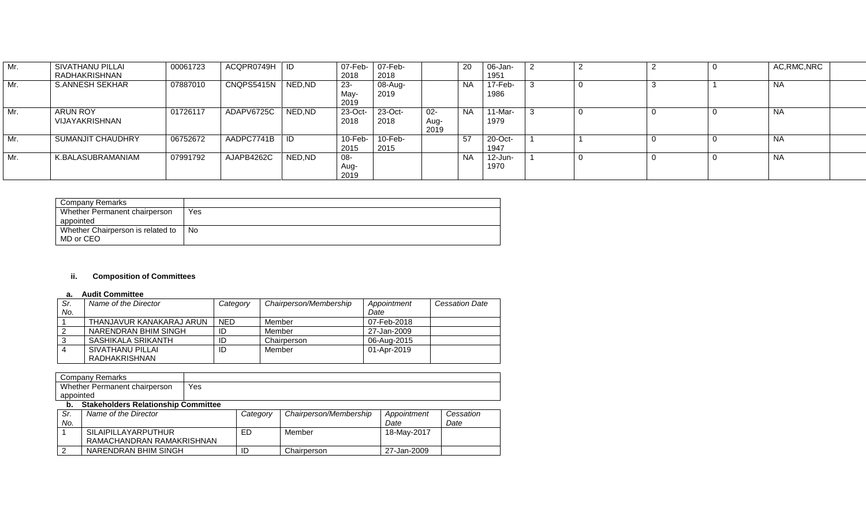| Mr. | SIVATHANU PILLAI<br>RADHAKRISHNAN | 00061723 | ACQPR0749H   ID |        | 07-Feb-<br>2018       | 07-Feb-<br>2018    |                        | 20        | 06-Jan-<br>1951               |  |  | AC, RMC, NRC |  |
|-----|-----------------------------------|----------|-----------------|--------|-----------------------|--------------------|------------------------|-----------|-------------------------------|--|--|--------------|--|
| Mr. | <b>S.ANNESH SEKHAR</b>            | 07887010 | CNQPS5415N      | NED,ND | $23-$<br>May-<br>2019 | 08-Aug-<br>2019    |                        | <b>NA</b> | $17 - \overline{Feb}$<br>1986 |  |  | <b>NA</b>    |  |
| Mr. | ARUN ROY<br>VIJAYAKRISHNAN        | 01726117 | ADAPV6725C      | NED.ND | 23-Oct-<br>2018       | 23-Oct-<br>2018    | $02 -$<br>Aug-<br>2019 | <b>NA</b> | 11-Mar-<br>1979               |  |  | <b>NA</b>    |  |
| Mr. | SUMANJIT CHAUDHRY                 | 06752672 | AADPC7741B      |        | $10$ -Feb-<br>2015    | $10$ -Feb-<br>2015 |                        | 57        | $20$ -Oct-<br>1947            |  |  | <b>NA</b>    |  |
| Mr. | K.BALASUBRAMANIAM                 | 07991792 | AJAPB4262C      | NED,ND | 08-<br>Aug-<br>2019   |                    |                        | <b>NA</b> | 12-Jun-<br>1970               |  |  | <b>NA</b>    |  |

| Company Remarks                   |     |
|-----------------------------------|-----|
| Whether Permanent chairperson     | Yes |
| appointed                         |     |
| Whether Chairperson is related to | No  |
| MD or CEO                         |     |

## **ii. Composition of Committees**

#### **a. Audit Committee**

| Sr. | Name of the Director     | Category   | Chairperson/Membership | Appointment | <b>Cessation Date</b> |
|-----|--------------------------|------------|------------------------|-------------|-----------------------|
| No. |                          |            |                        | Date        |                       |
|     | THANJAVUR KANAKARAJ ARUN | <b>NED</b> | Member                 | 07-Feb-2018 |                       |
| 2   | NARENDRAN BHIM SINGH     | ID         | Member                 | 27-Jan-2009 |                       |
|     | SASHIKALA SRIKANTH       | ID         | Chairperson            | 06-Aug-2015 |                       |
|     | SIVATHANU PILLAI         | ID         | Member                 | 01-Apr-2019 |                       |
|     | RADHAKRISHNAN            |            |                        |             |                       |

| Company Remarks                            |     |
|--------------------------------------------|-----|
| Whether Permanent chairperson              | Yes |
| appointed                                  |     |
| <b>Stakeholders Relationship Committee</b> |     |

| . . |                           |          |                        |             |           |
|-----|---------------------------|----------|------------------------|-------------|-----------|
| Sr. | Name of the Director      | Category | Chairperson/Membership | Appointment | Cessation |
| No. |                           |          |                        | Date        | Date      |
|     | SILAIPILLAYARPUTHUR       | ED       | Member                 | 18-May-2017 |           |
|     | RAMACHANDRAN RAMAKRISHNAN |          |                        |             |           |
|     | NARENDRAN BHIM SINGH      | ID       | Chairperson            | 27-Jan-2009 |           |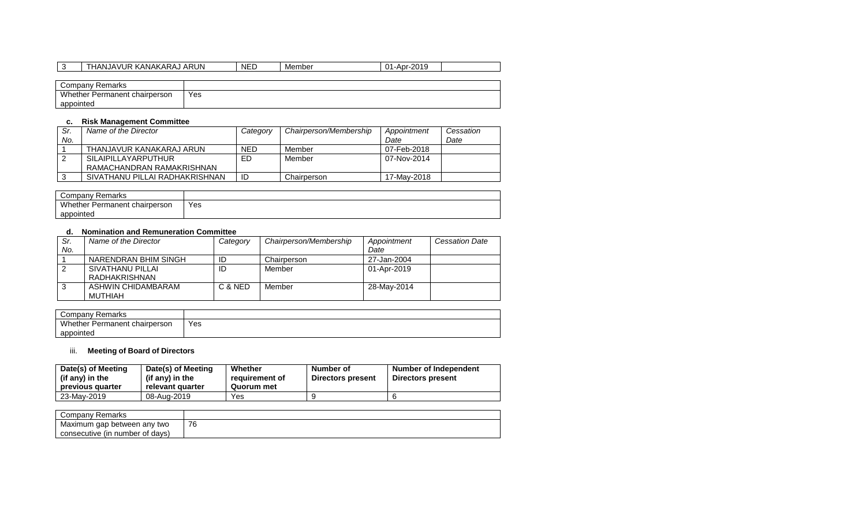| THANJAVUR KANAKARAJ ARUN      |     | <b>NED</b> | Member | 01-Apr-2019 |
|-------------------------------|-----|------------|--------|-------------|
|                               |     |            |        |             |
| Company Remarks               |     |            |        |             |
| Whether Permanent chairperson | Yes |            |        |             |
| appointed                     |     |            |        |             |

## **c. Risk Management Committee**

| Sr. | Name of the Director           | Category   | Chairperson/Membership | Appointment | Cessation |
|-----|--------------------------------|------------|------------------------|-------------|-----------|
| No. |                                |            |                        | Date        | Date      |
|     | THANJAVUR KANAKARAJ ARUN       | <b>NED</b> | Member                 | 07-Feb-2018 |           |
|     | SILAIPILLAYARPUTHUR            | ED         | Member                 | 07-Nov-2014 |           |
|     | RAMACHANDRAN RAMAKRISHNAN      |            |                        |             |           |
|     | SIVATHANU PILLAI RADHAKRISHNAN | ID         | Chairperson            | 17-Mav-2018 |           |

| Company<br>Remarks            |     |
|-------------------------------|-----|
| Whether Permanent chairperson | Yes |
| appointed                     |     |

## **d. Nomination and Remuneration Committee**

| Sr. | Name of the Director | Category | Chairperson/Membership | Appointment | <b>Cessation Date</b> |
|-----|----------------------|----------|------------------------|-------------|-----------------------|
| No. |                      |          |                        | Date        |                       |
|     | NARENDRAN BHIM SINGH | ID       | Chairperson            | 27-Jan-2004 |                       |
|     | SIVATHANU PILLAI     | ID       | Member                 | 01-Apr-2019 |                       |
|     | RADHAKRISHNAN        |          |                        |             |                       |
| 3   | ASHWIN CHIDAMBARAM   | C & NED  | Member                 | 28-May-2014 |                       |
|     | MUTHIAH              |          |                        |             |                       |

| Company<br>Remarks            |     |
|-------------------------------|-----|
| Whether Permanent chairperson | Yes |
| appointed                     |     |

# iii. **Meeting of Board of Directors**

| Date(s) of Meeting<br>(if any) in the<br>previous quarter | Date(s) of Meeting<br>(if any) in the<br>relevant quarter | Whether<br>reauirement of<br>Quorum met | Number of<br>Directors present | Number of Independent<br>Directors present |
|-----------------------------------------------------------|-----------------------------------------------------------|-----------------------------------------|--------------------------------|--------------------------------------------|
| 23-May-2019                                               | 08-Aug-2019                                               | Yes                                     |                                |                                            |

| Remarks<br>Company              |    |
|---------------------------------|----|
| Maximum gap between any two     | 76 |
| consecutive (in number of days) |    |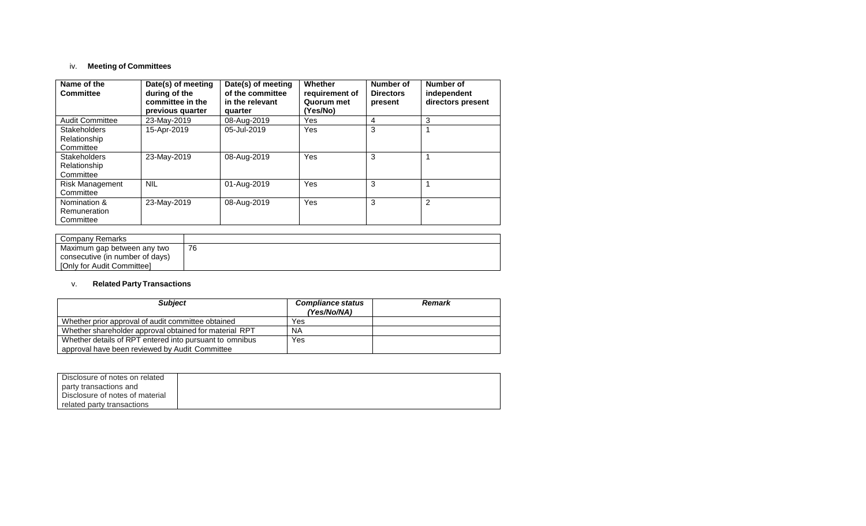## iv. **Meeting of Committees**

| Name of the<br><b>Committee</b>                  | Date(s) of meeting<br>during of the<br>committee in the<br>previous quarter | Date(s) of meeting<br>of the committee<br>in the relevant<br>quarter | Whether<br>requirement of<br>Quorum met<br>(Yes/No) | Number of<br><b>Directors</b><br>present | Number of<br>independent<br>directors present |
|--------------------------------------------------|-----------------------------------------------------------------------------|----------------------------------------------------------------------|-----------------------------------------------------|------------------------------------------|-----------------------------------------------|
| <b>Audit Committee</b>                           | 23-May-2019                                                                 | 08-Aug-2019                                                          | Yes                                                 | 4                                        | 3                                             |
| <b>Stakeholders</b><br>Relationship<br>Committee | 15-Apr-2019                                                                 | 05-Jul-2019                                                          | Yes                                                 | 3                                        |                                               |
| <b>Stakeholders</b><br>Relationship<br>Committee | 23-May-2019                                                                 | 08-Aug-2019                                                          | Yes                                                 | 3                                        |                                               |
| <b>Risk Management</b><br>Committee              | <b>NIL</b>                                                                  | 01-Aug-2019                                                          | Yes                                                 | 3                                        |                                               |
| Nomination &<br>Remuneration<br>Committee        | 23-May-2019                                                                 | 08-Aug-2019                                                          | Yes                                                 | 3                                        | 2                                             |

| Company Remarks                 |    |
|---------------------------------|----|
| Maximum gap between any two     | 76 |
| consecutive (in number of days) |    |
| [Only for Audit Committee]      |    |

## v. **Related Party Transactions**

| <b>Subject</b>                                          | <b>Compliance status</b><br>(Yes/No/NA) | <b>Remark</b> |
|---------------------------------------------------------|-----------------------------------------|---------------|
| Whether prior approval of audit committee obtained      | Yes                                     |               |
| Whether shareholder approval obtained for material RPT  | <b>NA</b>                               |               |
| Whether details of RPT entered into pursuant to omnibus | Yes                                     |               |
| approval have been reviewed by Audit Committee          |                                         |               |

| Disclosure of notes on related  |  |
|---------------------------------|--|
| party transactions and          |  |
| Disclosure of notes of material |  |
| related party transactions      |  |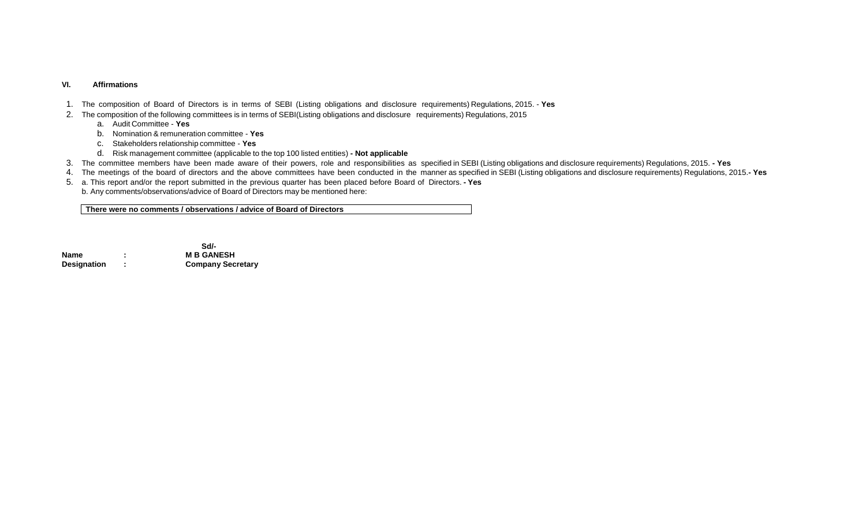#### **VI. Affirmations**

- 1. The composition of Board of Directors is in terms of SEBI (Listing obligations and disclosure requirements) Regulations, 2015. **Yes**
- 2. The composition of the following committees is in terms of SEBI(Listing obligations and disclosure requirements) Regulations, 2015
	- a. Audit Committee **Yes**
	- b. Nomination & remuneration committee **Yes**
	- c. Stakeholders relationship committee **Yes**
	- d. Risk management committee (applicable to the top 100 listed entities) **- Not applicable**
- 3. The committee members have been made aware of their powers, role and responsibilities as specified in SEBI (Listing obligations and disclosure requirements) Regulations, 2015. **- Yes**
- 4. The meetings of the board of directors and the above committees have been conducted in the manner as specified in SEBI (Listing obligations and disclosure requirements) Regulations, 2015.**- Yes**
- 5. a. This report and/or the report submitted in the previous quarter has been placed before Board of Directors. **- Yes**
	- b. Any comments/observations/advice of Board of Directors may be mentioned here:

**There were no comments / observations / advice of Board of Directors**

**Sd/-** Sd/-**Name 1 CONSIDER EXAMPLE 1 COMPANE IN B GANESH**<br> **Designation** : **Company Sec** 

**Designation : Company Secretary**